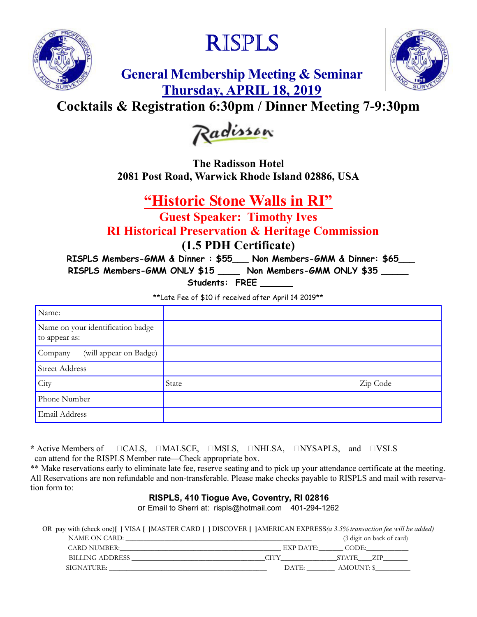

# RISPLS



**General Membership Meeting & Seminar Thursday, APRIL 18, 2019**

## **Cocktails & Registration 6:30pm / Dinner Meeting 7-9:30pm**



**The Radisson Hotel 2081 Post Road, Warwick Rhode Island 02886, USA** 

### **"Historic Stone Walls in RI"**

**Guest Speaker: Timothy Ives RI Historical Preservation & Heritage Commission (1.5 PDH Certificate)** 

**RISPLS Members-GMM & Dinner : \$55\_\_\_ Non Members-GMM & Dinner: \$65\_\_\_** 

**RISPLS Members-GMM ONLY \$15 \_\_\_\_ Non Members-GMM ONLY \$35 \_\_\_\_\_** 

Students: FREE

\*\*Late Fee of \$10 if received after April 14 2019\*\*

| Name:                                              |       |          |
|----------------------------------------------------|-------|----------|
| Name on your identification badge<br>to appear as: |       |          |
| (will appear on Badge)<br>Company                  |       |          |
| <b>Street Address</b>                              |       |          |
| City                                               | State | Zip Code |
| Phone Number                                       |       |          |
| Email Address                                      |       |          |

\* Active Members of  $\Box$ CALS,  $\Box$ MALSCE,  $\Box$ MSLS,  $\Box$ NHLSA,  $\Box$ NYSAPLS, and  $\Box$ VSLS can attend for the RISPLS Member rate—Check appropriate box.

\*\* Make reservations early to eliminate late fee, reserve seating and to pick up your attendance certificate at the meeting. All Reservations are non refundable and non-transferable. Please make checks payable to RISPLS and mail with reservation form to:

#### **RISPLS, 410 Tiogue Ave, Coventry, RI 02816**

or Email to Sherri at: rispls@hotmail.com 401-294-1262

OR pay with (check one)**[** ] VISA **[** ]MASTER CARD **[** ] DISCOVER **[** ]AMERICAN EXPRESS(a 3.5% transaction fee will be added) NAME ON CARD:  $(3 \text{ dioit on back of card})$ 

|                | (9 tugu 011 back 01 caru) |
|----------------|---------------------------|
| $EXP$ DATE:    | CODE:                     |
|                | <b>STATE</b>              |
| $\text{DATE:}$ | AMOUNT: \$                |
|                |                           |